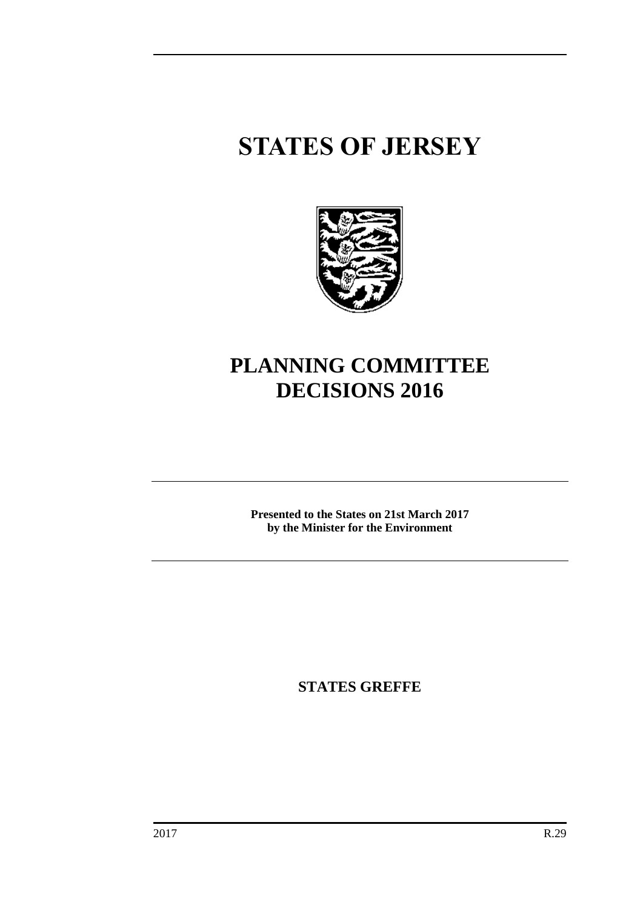# **STATES OF JERSEY**



# **PLANNING COMMITTEE DECISIONS 2016**

**Presented to the States on 21st March 2017 by the Minister for the Environment**

**STATES GREFFE**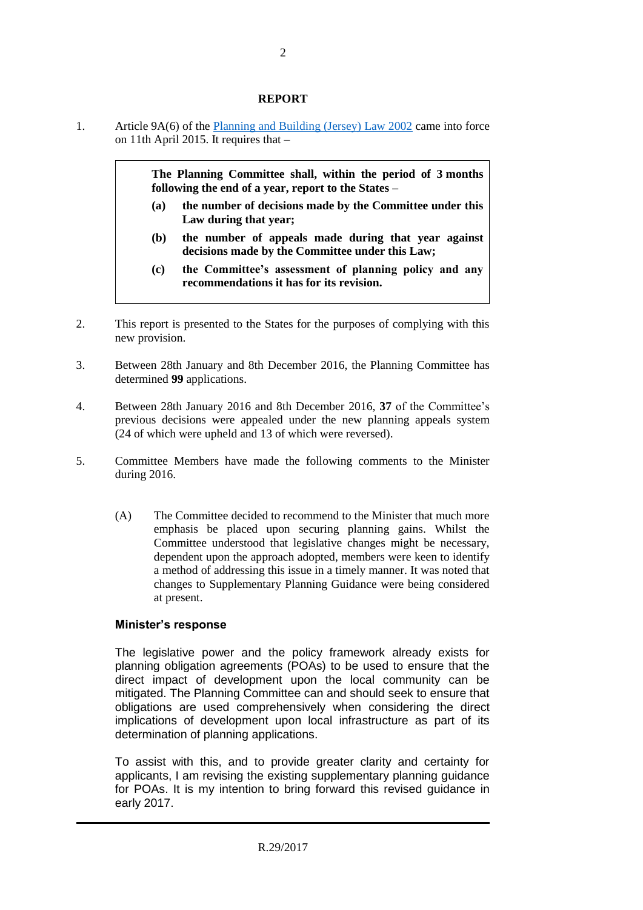#### **REPORT**

1. Article 9A(6) of the Planning [and Building \(Jersey\) Law 2002](https://www.jerseylaw.je/laws/revised/Pages/22.550.aspx) came into force on 11th April 2015. It requires that –

> **The Planning Committee shall, within the period of 3 months following the end of a year, report to the States –**

- **(a) the number of decisions made by the Committee under this Law during that year;**
- **(b) the number of appeals made during that year against decisions made by the Committee under this Law;**
- **(c) the Committee's assessment of planning policy and any recommendations it has for its revision.**
- 2. This report is presented to the States for the purposes of complying with this new provision.
- 3. Between 28th January and 8th December 2016, the Planning Committee has determined **99** applications.
- 4. Between 28th January 2016 and 8th December 2016, **37** of the Committee's previous decisions were appealed under the new planning appeals system (24 of which were upheld and 13 of which were reversed).
- 5. Committee Members have made the following comments to the Minister during 2016.
	- (A) The Committee decided to recommend to the Minister that much more emphasis be placed upon securing planning gains. Whilst the Committee understood that legislative changes might be necessary, dependent upon the approach adopted, members were keen to identify a method of addressing this issue in a timely manner. It was noted that changes to Supplementary Planning Guidance were being considered at present.

#### **Minister's response**

The legislative power and the policy framework already exists for planning obligation agreements (POAs) to be used to ensure that the direct impact of development upon the local community can be mitigated. The Planning Committee can and should seek to ensure that obligations are used comprehensively when considering the direct implications of development upon local infrastructure as part of its determination of planning applications.

To assist with this, and to provide greater clarity and certainty for applicants, I am revising the existing supplementary planning guidance for POAs. It is my intention to bring forward this revised guidance in early 2017.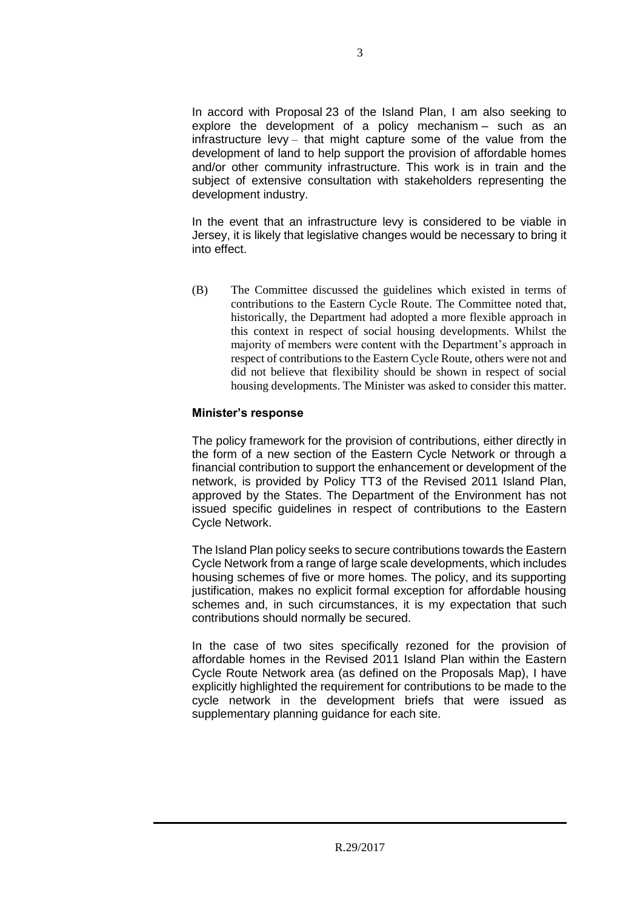In accord with Proposal 23 of the Island Plan, I am also seeking to explore the development of a policy mechanism – such as an infrastructure levy – that might capture some of the value from the development of land to help support the provision of affordable homes and/or other community infrastructure. This work is in train and the subject of extensive consultation with stakeholders representing the development industry.

In the event that an infrastructure levy is considered to be viable in Jersey, it is likely that legislative changes would be necessary to bring it into effect.

(B) The Committee discussed the guidelines which existed in terms of contributions to the Eastern Cycle Route. The Committee noted that, historically, the Department had adopted a more flexible approach in this context in respect of social housing developments. Whilst the majority of members were content with the Department's approach in respect of contributions to the Eastern Cycle Route, others were not and did not believe that flexibility should be shown in respect of social housing developments. The Minister was asked to consider this matter.

# **Minister's response**

The policy framework for the provision of contributions, either directly in the form of a new section of the Eastern Cycle Network or through a financial contribution to support the enhancement or development of the network, is provided by Policy TT3 of the Revised 2011 Island Plan, approved by the States. The Department of the Environment has not issued specific guidelines in respect of contributions to the Eastern Cycle Network.

The Island Plan policy seeks to secure contributions towards the Eastern Cycle Network from a range of large scale developments, which includes housing schemes of five or more homes. The policy, and its supporting justification, makes no explicit formal exception for affordable housing schemes and, in such circumstances, it is my expectation that such contributions should normally be secured.

In the case of two sites specifically rezoned for the provision of affordable homes in the Revised 2011 Island Plan within the Eastern Cycle Route Network area (as defined on the Proposals Map), I have explicitly highlighted the requirement for contributions to be made to the cycle network in the development briefs that were issued as supplementary planning guidance for each site.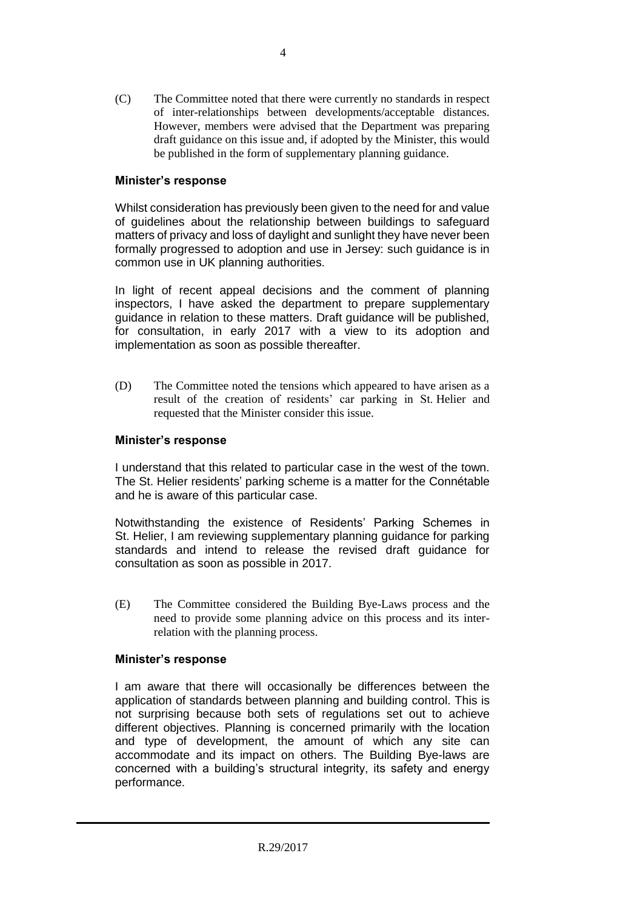(C) The Committee noted that there were currently no standards in respect of inter-relationships between developments/acceptable distances. However, members were advised that the Department was preparing draft guidance on this issue and, if adopted by the Minister, this would be published in the form of supplementary planning guidance.

# **Minister's response**

Whilst consideration has previously been given to the need for and value of guidelines about the relationship between buildings to safeguard matters of privacy and loss of daylight and sunlight they have never been formally progressed to adoption and use in Jersey: such guidance is in common use in UK planning authorities.

In light of recent appeal decisions and the comment of planning inspectors, I have asked the department to prepare supplementary guidance in relation to these matters. Draft guidance will be published, for consultation, in early 2017 with a view to its adoption and implementation as soon as possible thereafter.

(D) The Committee noted the tensions which appeared to have arisen as a result of the creation of residents' car parking in St. Helier and requested that the Minister consider this issue.

# **Minister's response**

I understand that this related to particular case in the west of the town. The St. Helier residents' parking scheme is a matter for the Connétable and he is aware of this particular case.

Notwithstanding the existence of Residents' Parking Schemes in St. Helier, I am reviewing supplementary planning guidance for parking standards and intend to release the revised draft guidance for consultation as soon as possible in 2017.

(E) The Committee considered the Building Bye-Laws process and the need to provide some planning advice on this process and its interrelation with the planning process.

# **Minister's response**

I am aware that there will occasionally be differences between the application of standards between planning and building control. This is not surprising because both sets of regulations set out to achieve different objectives. Planning is concerned primarily with the location and type of development, the amount of which any site can accommodate and its impact on others. The Building Bye-laws are concerned with a building's structural integrity, its safety and energy performance.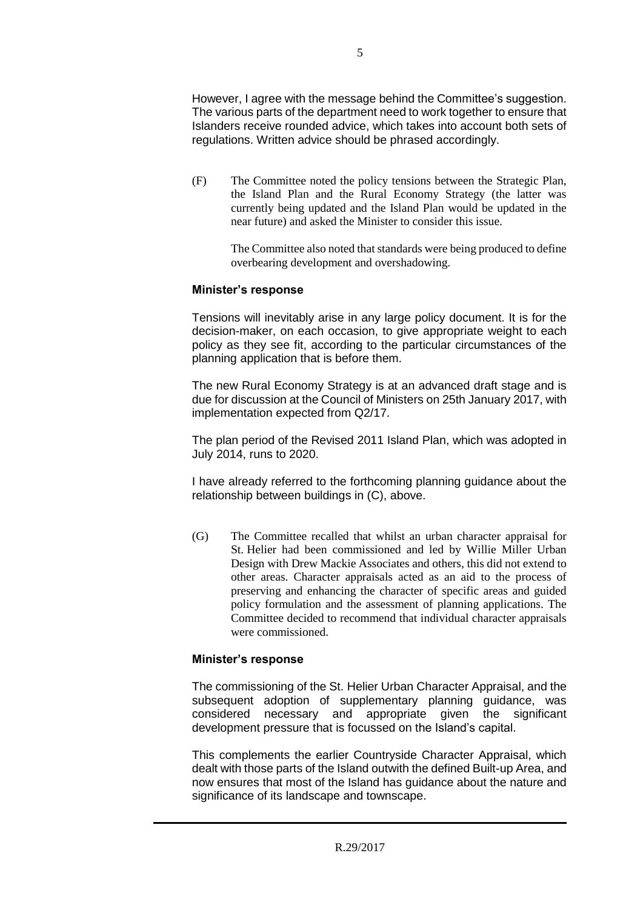However, I agree with the message behind the Committee's suggestion. The various parts of the department need to work together to ensure that Islanders receive rounded advice, which takes into account both sets of regulations. Written advice should be phrased accordingly.

(F) The Committee noted the policy tensions between the Strategic Plan, the Island Plan and the Rural Economy Strategy (the latter was currently being updated and the Island Plan would be updated in the near future) and asked the Minister to consider this issue.

> The Committee also noted that standards were being produced to define overbearing development and overshadowing.

# **Minister's response**

Tensions will inevitably arise in any large policy document. It is for the decision-maker, on each occasion, to give appropriate weight to each policy as they see fit, according to the particular circumstances of the planning application that is before them.

The new Rural Economy Strategy is at an advanced draft stage and is due for discussion at the Council of Ministers on 25th January 2017, with implementation expected from Q2/17.

The plan period of the Revised 2011 Island Plan, which was adopted in July 2014, runs to 2020.

I have already referred to the forthcoming planning guidance about the relationship between buildings in (C), above.

(G) The Committee recalled that whilst an urban character appraisal for St. Helier had been commissioned and led by Willie Miller Urban Design with Drew Mackie Associates and others, this did not extend to other areas. Character appraisals acted as an aid to the process of preserving and enhancing the character of specific areas and guided policy formulation and the assessment of planning applications. The Committee decided to recommend that individual character appraisals were commissioned.

# **Minister's response**

The commissioning of the St. Helier Urban Character Appraisal, and the subsequent adoption of supplementary planning guidance, was considered necessary and appropriate given the significant development pressure that is focussed on the Island's capital.

This complements the earlier Countryside Character Appraisal, which dealt with those parts of the Island outwith the defined Built-up Area, and now ensures that most of the Island has guidance about the nature and significance of its landscape and townscape.